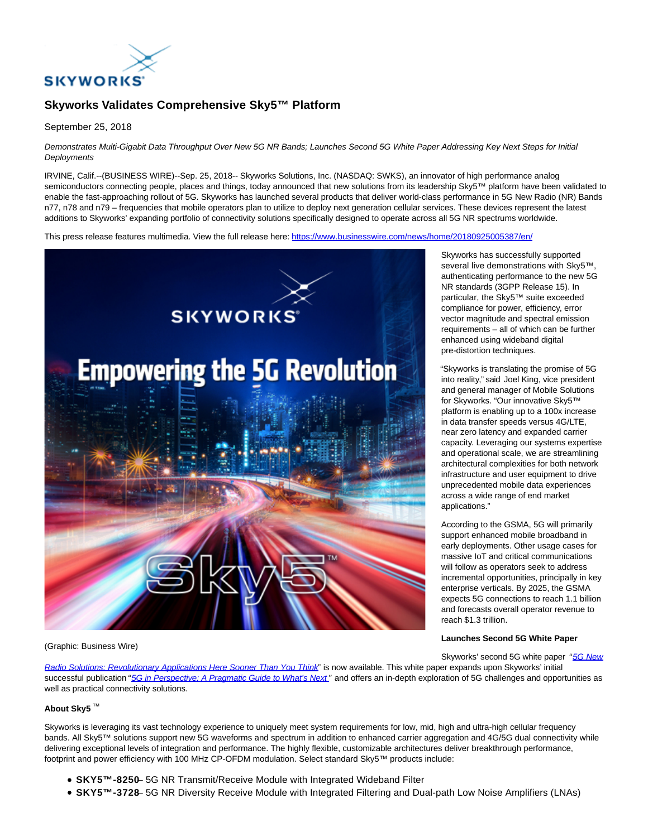

# **Skyworks Validates Comprehensive Sky5™ Platform**

September 25, 2018

Demonstrates Multi-Gigabit Data Throughput Over New 5G NR Bands; Launches Second 5G White Paper Addressing Key Next Steps for Initial **Deployments** 

IRVINE, Calif.--(BUSINESS WIRE)--Sep. 25, 2018-- Skyworks Solutions, Inc. (NASDAQ: SWKS), an innovator of high performance analog semiconductors connecting people, places and things, today announced that new solutions from its leadership Sky5™ platform have been validated to enable the fast-approaching rollout of 5G. Skyworks has launched several products that deliver world-class performance in 5G New Radio (NR) Bands n77, n78 and n79 – frequencies that mobile operators plan to utilize to deploy next generation cellular services. These devices represent the latest additions to Skyworks' expanding portfolio of connectivity solutions specifically designed to operate across all 5G NR spectrums worldwide.

This press release features multimedia. View the full release here:<https://www.businesswire.com/news/home/20180925005387/en/>



#### (Graphic: Business Wire)

Radio Solutions: Revolutionary Applications Here Sooner Than You Think" is now available. This white paper expands upon Skyworks' initial successful publication ["5G in Perspective: A Pragmatic Guide to What's Next](http://cts.businesswire.com/ct/CT?id=smartlink&url=http%3A%2F%2Fwww.skyworksinc.com%2Fdownloads%2Fliterature%2FSkyworks-5G%2520White-Paper.pdf&esheet=51872179&newsitemid=20180925005387&lan=en-US&anchor=5G+in+Perspective%3A+A+Pragmatic+Guide+to+What%27s+Next&index=2&md5=4a28794572618ffa86b1621bb8314ef0)" and offers an in-depth exploration of 5G challenges and opportunities as well as practical connectivity solutions.

# **About Sky5** ™

Skyworks is leveraging its vast technology experience to uniquely meet system requirements for low, mid, high and ultra-high cellular frequency bands. All Sky5™ solutions support new 5G waveforms and spectrum in addition to enhanced carrier aggregation and 4G/5G dual connectivity while delivering exceptional levels of integration and performance. The highly flexible, customizable architectures deliver breakthrough performance, footprint and power efficiency with 100 MHz CP-OFDM modulation. Select standard Sky5™ products include:

- **SKY5™-8250** 5G NR Transmit/Receive Module with Integrated Wideband Filter
- **SKY5™-3728** 5G NR Diversity Receive Module with Integrated Filtering and Dual-path Low Noise Amplifiers (LNAs)

Skyworks has successfully supported several live demonstrations with Skv5™. authenticating performance to the new 5G NR standards (3GPP Release 15). In particular, the Sky5™ suite exceeded compliance for power, efficiency, error vector magnitude and spectral emission requirements – all of which can be further enhanced using wideband digital pre-distortion techniques.

"Skyworks is translating the promise of 5G into reality," said Joel King, vice president and general manager of Mobile Solutions for Skyworks. "Our innovative Sky5™ platform is enabling up to a 100x increase in data transfer speeds versus 4G/LTE, near zero latency and expanded carrier capacity. Leveraging our systems expertise and operational scale, we are streamlining architectural complexities for both network infrastructure and user equipment to drive unprecedented mobile data experiences across a wide range of end market applications."

According to the GSMA, 5G will primarily support enhanced mobile broadband in early deployments. Other usage cases for massive IoT and critical communications will follow as operators seek to address incremental opportunities, principally in key enterprise verticals. By 2025, the GSMA expects 5G connections to reach 1.1 billion and forecasts overall operator revenue to reach \$1.3 trillion.

### **Launches Second 5G White Paper**

Skyworks' second 5G white paper ["5G New](http://cts.businesswire.com/ct/CT?id=smartlink&url=http%3A%2F%2Fwww.skyworksinc.com%2FProducts_5G_Whitepaper.aspx&esheet=51872179&newsitemid=20180925005387&lan=en-US&anchor=5G+New+Radio+Solutions%3A+Revolutionary+Applications+Here+Sooner+Than+You+Think&index=1&md5=70e924d0245be5f74897f675f125fed9)